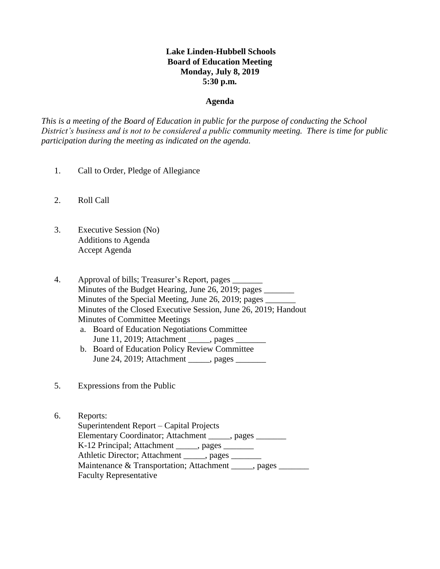# **Lake Linden-Hubbell Schools Board of Education Meeting Monday, July 8, 2019 5:30 p.m.**

#### **Agenda**

*This is a meeting of the Board of Education in public for the purpose of conducting the School District's business and is not to be considered a public community meeting. There is time for public participation during the meeting as indicated on the agenda.*

- 1. Call to Order, Pledge of Allegiance
- 2. Roll Call
- 3. Executive Session (No) Additions to Agenda Accept Agenda
- 4. Approval of bills; Treasurer's Report, pages \_\_\_\_\_\_\_ Minutes of the Budget Hearing, June 26, 2019; pages Minutes of the Special Meeting, June 26, 2019; pages \_\_\_\_\_\_\_\_\_\_\_\_\_\_\_\_\_\_\_\_\_\_\_\_\_\_\_\_ Minutes of the Closed Executive Session, June 26, 2019; Handout Minutes of Committee Meetings a. Board of Education Negotiations Committee
	- June 11, 2019; Attachment \_\_\_\_\_, pages \_ b. Board of Education Policy Review Committee
	- June 24, 2019; Attachment \_\_\_\_\_, pages \_\_\_\_\_\_\_
- 5. Expressions from the Public
- 6. Reports: Superintendent Report – Capital Projects Elementary Coordinator; Attachment \_\_\_\_\_, pages \_\_\_\_\_\_\_ K-12 Principal; Attachment \_\_\_\_\_, pages \_\_\_\_\_\_\_ Athletic Director; Attachment \_\_\_\_\_, pages \_\_\_\_\_\_\_ Maintenance & Transportation; Attachment \_\_\_\_\_, pages \_\_\_\_\_\_\_ Faculty Representative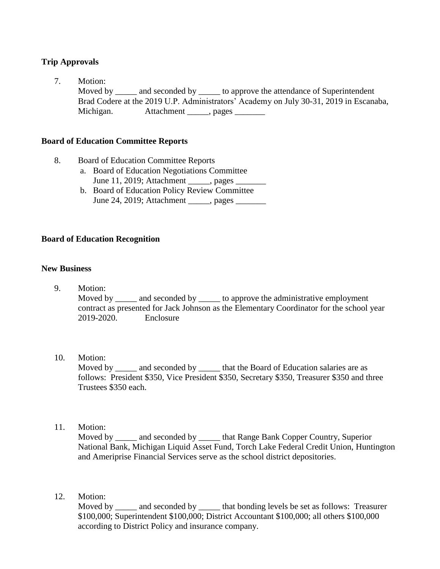# **Trip Approvals**

7. Motion: Moved by \_\_\_\_\_ and seconded by \_\_\_\_\_ to approve the attendance of Superintendent Brad Codere at the 2019 U.P. Administrators' Academy on July 30-31, 2019 in Escanaba, Michigan. Attachment \_\_\_\_\_, pages \_\_\_\_\_\_\_

## **Board of Education Committee Reports**

- 8. Board of Education Committee Reports
	- a. Board of Education Negotiations Committee June 11, 2019; Attachment \_\_\_\_\_, pages \_\_\_\_\_\_\_
	- b. Board of Education Policy Review Committee June 24, 2019; Attachment , pages

## **Board of Education Recognition**

## **New Business**

9. Motion:

Moved by \_\_\_\_\_ and seconded by \_\_\_\_\_ to approve the administrative employment contract as presented for Jack Johnson as the Elementary Coordinator for the school year 2019-2020. Enclosure

## 10. Motion:

Moved by \_\_\_\_\_\_ and seconded by \_\_\_\_\_\_ that the Board of Education salaries are as follows: President \$350, Vice President \$350, Secretary \$350, Treasurer \$350 and three Trustees \$350 each.

11. Motion:

 Moved by \_\_\_\_\_ and seconded by \_\_\_\_\_ that Range Bank Copper Country, Superior National Bank, Michigan Liquid Asset Fund, Torch Lake Federal Credit Union, Huntington and Ameriprise Financial Services serve as the school district depositories.

12. Motion:

Moved by and seconded by that bonding levels be set as follows: Treasurer \$100,000; Superintendent \$100,000; District Accountant \$100,000; all others \$100,000 according to District Policy and insurance company.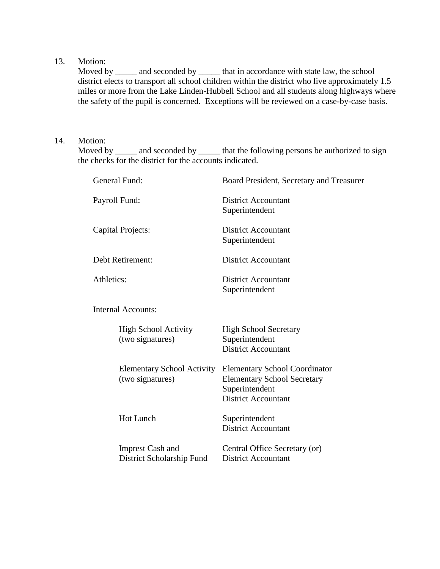## 13. Motion:

Moved by \_\_\_\_\_\_ and seconded by \_\_\_\_\_\_ that in accordance with state law, the school district elects to transport all school children within the district who live approximately 1.5 miles or more from the Lake Linden-Hubbell School and all students along highways where the safety of the pupil is concerned. Exceptions will be reviewed on a case-by-case basis.

## 14. Motion:

Moved by \_\_\_\_\_ and seconded by \_\_\_\_\_\_ that the following persons be authorized to sign the checks for the district for the accounts indicated.

| General Fund:                                         | Board President, Secretary and Treasurer                                                                                   |  |  |
|-------------------------------------------------------|----------------------------------------------------------------------------------------------------------------------------|--|--|
| Payroll Fund:                                         | <b>District Accountant</b><br>Superintendent                                                                               |  |  |
| Capital Projects:                                     | <b>District Accountant</b><br>Superintendent                                                                               |  |  |
| Debt Retirement:                                      | <b>District Accountant</b>                                                                                                 |  |  |
| Athletics:                                            | <b>District Accountant</b><br>Superintendent                                                                               |  |  |
| <b>Internal Accounts:</b>                             |                                                                                                                            |  |  |
| <b>High School Activity</b><br>(two signatures)       | <b>High School Secretary</b><br>Superintendent<br><b>District Accountant</b>                                               |  |  |
| <b>Elementary School Activity</b><br>(two signatures) | <b>Elementary School Coordinator</b><br><b>Elementary School Secretary</b><br>Superintendent<br><b>District Accountant</b> |  |  |
| <b>Hot Lunch</b>                                      | Superintendent<br><b>District Accountant</b>                                                                               |  |  |
| <b>Imprest Cash and</b><br>District Scholarship Fund  | Central Office Secretary (or)<br><b>District Accountant</b>                                                                |  |  |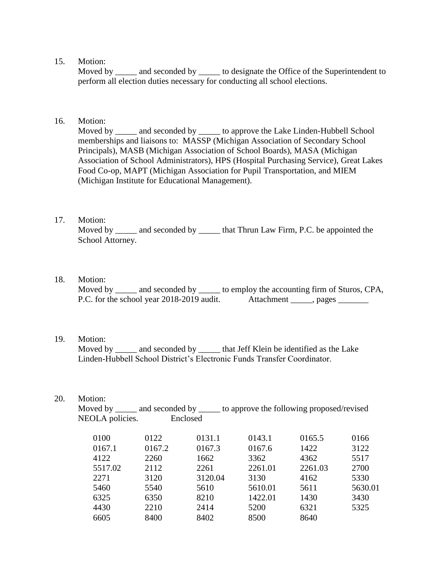#### 15. Motion:

Moved by and seconded by to designate the Office of the Superintendent to perform all election duties necessary for conducting all school elections.

#### 16. Motion:

 Moved by \_\_\_\_\_ and seconded by \_\_\_\_\_ to approve the Lake Linden-Hubbell School memberships and liaisons to: MASSP (Michigan Association of Secondary School Principals), MASB (Michigan Association of School Boards), MASA (Michigan Association of School Administrators), HPS (Hospital Purchasing Service), Great Lakes Food Co-op, MAPT (Michigan Association for Pupil Transportation, and MIEM (Michigan Institute for Educational Management).

# 17. Motion:

Moved by \_\_\_\_\_\_ and seconded by \_\_\_\_\_\_ that Thrun Law Firm, P.C. be appointed the School Attorney.

18. Motion:

Moved by \_\_\_\_\_ and seconded by \_\_\_\_\_ to employ the accounting firm of Sturos, CPA, P.C. for the school year 2018-2019 audit. Attachment \_\_\_\_\_, pages \_\_\_\_\_\_\_

#### 19. Motion:

Moved by \_\_\_\_\_ and seconded by \_\_\_\_\_\_ that Jeff Klein be identified as the Lake Linden-Hubbell School District's Electronic Funds Transfer Coordinator.

#### 20. Motion:

| Moved by $\_\_$ | and seconded by __ | to approve the following proposed/revised |
|-----------------|--------------------|-------------------------------------------|
| NEOLA policies. | Enclosed           |                                           |

| 0100<br>0167.1<br>4122<br>5517.02<br>2271<br>5460<br>6325<br>4430 | 0122<br>0167.2<br>2260<br>2112<br>3120<br>5540<br>6350<br>2210 | 0131.1<br>0167.3<br>1662<br>2261<br>3120.04<br>5610<br>8210<br>2414 | 0143.1<br>0167.6<br>3362<br>2261.01<br>3130<br>5610.01<br>1422.01<br>5200 | 0165.5<br>1422<br>4362<br>2261.03<br>4162<br>5611<br>1430<br>6321 | 0166<br>3122<br>5517<br>2700<br>5330<br>5630.01<br>3430<br>5325 |
|-------------------------------------------------------------------|----------------------------------------------------------------|---------------------------------------------------------------------|---------------------------------------------------------------------------|-------------------------------------------------------------------|-----------------------------------------------------------------|
| 6605                                                              | 8400                                                           | 8402                                                                | 8500                                                                      | 8640                                                              |                                                                 |
|                                                                   |                                                                |                                                                     |                                                                           |                                                                   |                                                                 |